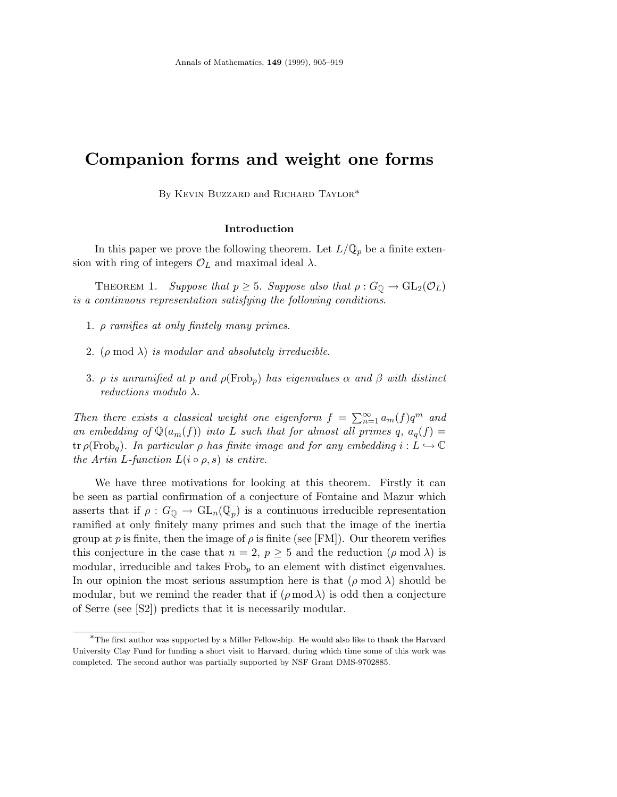# **Companion forms and weight one forms**

By KEVIN BUZZARD and RICHARD TAYLOR\*

## **Introduction**

In this paper we prove the following theorem. Let  $L/\mathbb{Q}_p$  be a finite extension with ring of integers  $\mathcal{O}_L$  and maximal ideal  $\lambda$ .

THEOREM 1. Suppose that  $p \geq 5$ . Suppose also that  $\rho : G_{\mathbb{Q}} \to GL_2(\mathcal{O}_L)$ is a continuous representation satisfying the following conditions.

- 1. *ρ* ramifies at only finitely many primes.
- 2.  $(\rho \mod \lambda)$  is modular and absolutely irreducible.
- 3. *ρ* is unramified at *p* and  $\rho(\text{Frob}_p)$  has eigenvalues  $\alpha$  and  $\beta$  with distinct reductions modulo *λ*.

Then there exists a classical weight one eigenform  $f = \sum_{n=1}^{\infty} a_m(f) q^m$  and an embedding of  $\mathbb{Q}(a_m(f))$  into *L* such that for almost all primes  $q$ ,  $a_q(f)$  =  $\text{tr } \rho(\text{Frob}_q)$ . In particular  $\rho$  has finite image and for any embedding  $i: L \hookrightarrow \mathbb{C}$ the Artin *L*-function  $L(i \circ \rho, s)$  is entire.

We have three motivations for looking at this theorem. Firstly it can be seen as partial confirmation of a conjecture of Fontaine and Mazur which asserts that if  $\rho: G_{\mathbb{Q}} \to GL_n(\mathbb{Q}_p)$  is a continuous irreducible representation ramified at only finitely many primes and such that the image of the inertia group at *p* is finite, then the image of  $\rho$  is finite (see [FM]). Our theorem verifies this conjecture in the case that  $n = 2$ ,  $p \geq 5$  and the reduction ( $\rho \mod \lambda$ ) is modular, irreducible and takes Frob<sub>p</sub> to an element with distinct eigenvalues. In our opinion the most serious assumption here is that  $(\rho \mod \lambda)$  should be modular, but we remind the reader that if  $(\rho \mod \lambda)$  is odd then a conjecture of Serre (see [S2]) predicts that it is necessarily modular.

<sup>∗</sup>The first author was supported by a Miller Fellowship. He would also like to thank the Harvard University Clay Fund for funding a short visit to Harvard, during which time some of this work was completed. The second author was partially supported by NSF Grant DMS-9702885.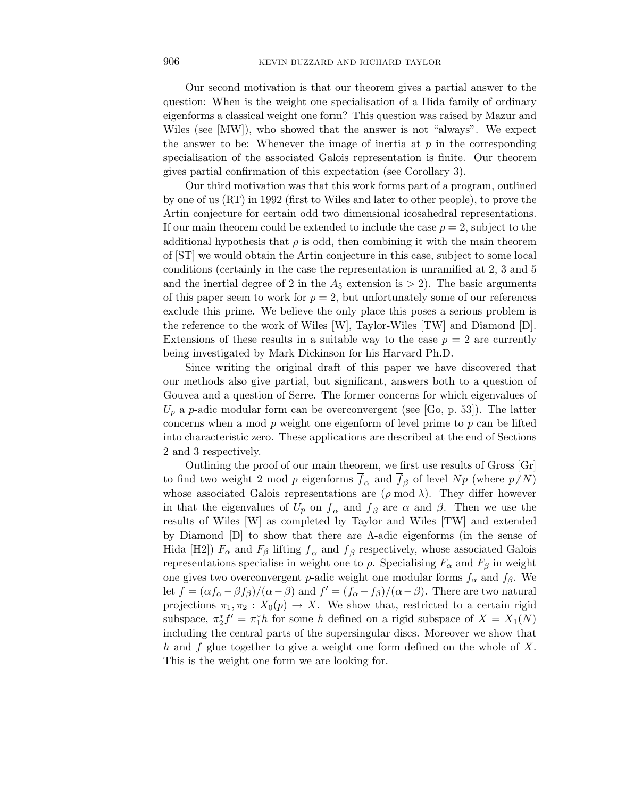Our second motivation is that our theorem gives a partial answer to the question: When is the weight one specialisation of a Hida family of ordinary eigenforms a classical weight one form? This question was raised by Mazur and Wiles (see [MW]), who showed that the answer is not "always". We expect the answer to be: Whenever the image of inertia at  $p$  in the corresponding specialisation of the associated Galois representation is finite. Our theorem gives partial confirmation of this expectation (see Corollary 3).

Our third motivation was that this work forms part of a program, outlined by one of us (RT) in 1992 (first to Wiles and later to other people), to prove the Artin conjecture for certain odd two dimensional icosahedral representations. If our main theorem could be extended to include the case  $p = 2$ , subject to the additional hypothesis that  $\rho$  is odd, then combining it with the main theorem of [ST] we would obtain the Artin conjecture in this case, subject to some local conditions (certainly in the case the representation is unramified at 2, 3 and 5 and the inertial degree of 2 in the  $A_5$  extension is  $> 2$ ). The basic arguments of this paper seem to work for  $p = 2$ , but unfortunately some of our references exclude this prime. We believe the only place this poses a serious problem is the reference to the work of Wiles [W], Taylor-Wiles [TW] and Diamond [D]. Extensions of these results in a suitable way to the case  $p = 2$  are currently being investigated by Mark Dickinson for his Harvard Ph.D.

Since writing the original draft of this paper we have discovered that our methods also give partial, but significant, answers both to a question of Gouvea and a question of Serre. The former concerns for which eigenvalues of  $U_p$  a *p*-adic modular form can be overconvergent (see [Go, p. 53]). The latter concerns when a mod *p* weight one eigenform of level prime to *p* can be lifted into characteristic zero. These applications are described at the end of Sections 2 and 3 respectively.

Outlining the proof of our main theorem, we first use results of Gross [Gr] to find two weight 2 mod *p* eigenforms  $\overline{f}_\alpha$  and  $\overline{f}_\beta$  of level  $Np$  (where  $p/N$ ) whose associated Galois representations are  $(\rho \mod \lambda)$ . They differ however in that the eigenvalues of  $U_p$  on  $f_\alpha$  and  $f_\beta$  are  $\alpha$  and  $\beta$ . Then we use the results of Wiles [W] as completed by Taylor and Wiles [TW] and extended by Diamond [D] to show that there are Λ-adic eigenforms (in the sense of Hida [H2])  $F_\alpha$  and  $F_\beta$  lifting  $\overline{f}_\alpha$  and  $\overline{f}_\beta$  respectively, whose associated Galois representations specialise in weight one to *ρ*. Specialising *F<sup>α</sup>* and *F<sup>β</sup>* in weight one gives two overconvergent *p*-adic weight one modular forms  $f_\alpha$  and  $f_\beta$ . We let  $f = (\alpha f_\alpha - \beta f_\beta)/(\alpha - \beta)$  and  $f' = (f_\alpha - f_\beta)/(\alpha - \beta)$ . There are two natural projections  $\pi_1, \pi_2 : X_0(p) \to X$ . We show that, restricted to a certain rigid subspace,  $\pi_2^* f' = \pi_1^* h$  for some *h* defined on a rigid subspace of  $X = X_1(N)$ including the central parts of the supersingular discs. Moreover we show that *h* and *f* glue together to give a weight one form defined on the whole of *X*. This is the weight one form we are looking for.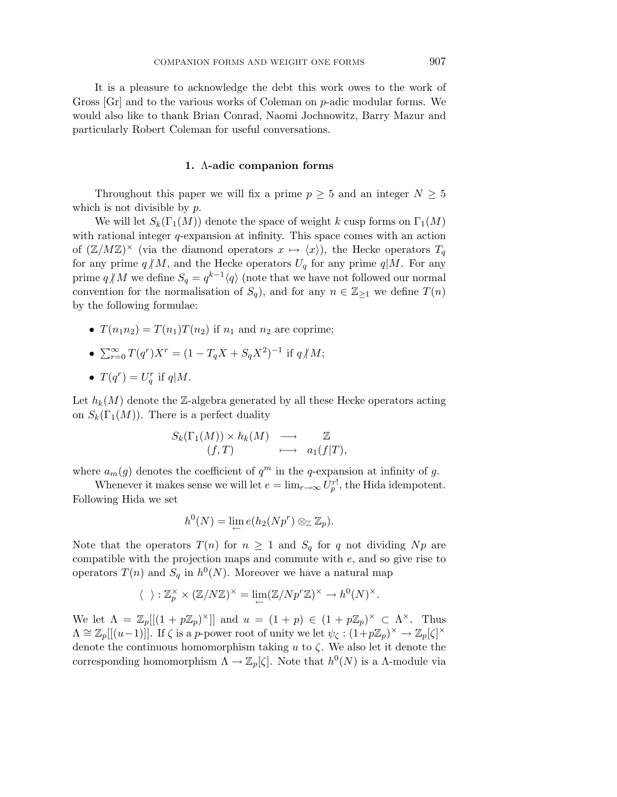It is a pleasure to acknowledge the debt this work owes to the work of Gross [Gr] and to the various works of Coleman on *p*-adic modular forms. We would also like to thank Brian Conrad, Naomi Jochnowitz, Barry Mazur and particularly Robert Coleman for useful conversations.

#### **1.** Λ**-adic companion forms**

Throughout this paper we will fix a prime  $p \geq 5$  and an integer  $N \geq 5$ which is not divisible by *p*.

We will let  $S_k(\Gamma_1(M))$  denote the space of weight *k* cusp forms on  $\Gamma_1(M)$ with rational integer *q*-expansion at infinity. This space comes with an action of  $(\mathbb{Z}/M\mathbb{Z})^{\times}$  (via the diamond operators  $x \mapsto \langle x \rangle$ ), the Hecke operators  $T_q$ for any prime  $q/M$ , and the Hecke operators  $U_q$  for any prime  $q/M$ . For any prime  $q/M$  we define  $S_q = q^{k-1}\langle q \rangle$  (note that we have not followed our normal convention for the normalisation of  $S_q$ ), and for any  $n \in \mathbb{Z}_{\geq 1}$  we define  $T(n)$ by the following formulae:

- $T(n_1 n_2) = T(n_1) T(n_2)$  if  $n_1$  and  $n_2$  are coprime;
- $\sum_{r=0}^{\infty} T(q^r)X^r = (1 T_qX + S_qX^2)^{-1}$  if  $q \nmid M$ ; •  $T(q^r) = U_q^r$  if  $q|M$ .

Let  $h_k(M)$  denote the Z-algebra generated by all these Hecke operators acting on  $S_k(\Gamma_1(M))$ . There is a perfect duality

$$
S_k(\Gamma_1(M)) \times h_k(M) \longrightarrow \mathbb{Z}
$$
  
(f, T)  $\longrightarrow$   $a_1(f|T)$ ,

where  $a_m(g)$  denotes the coefficient of  $q^m$  in the *q*-expansion at infinity of *g*.

Whenever it makes sense we will let  $e = \lim_{r \to \infty} U_p^{r!}$ , the Hida idempotent. Following Hida we set

$$
h^0(N)=\lim_{\leftarrow}e(h_2(Np^r)\otimes_{\mathbb{Z}}\mathbb{Z}_p).
$$

Note that the operators  $T(n)$  for  $n \geq 1$  and  $S_q$  for q not dividing Np are compatible with the projection maps and commute with *e*, and so give rise to operators  $T(n)$  and  $S_q$  in  $h^0(N)$ . Moreover we have a natural map

$$
\langle \ \ \rangle : \mathbb{Z}_p^{\times} \times (\mathbb{Z}/N\mathbb{Z})^{\times} = \lim_{\leftarrow} (\mathbb{Z}/Np^r\mathbb{Z})^{\times} \to h^0(N)^{\times}.
$$

We let  $\Lambda = \mathbb{Z}_p[[(1 + p\mathbb{Z}_p)^{\times}]]$  and  $u = (1 + p) \in (1 + p\mathbb{Z}_p)^{\times} \subset \Lambda^{\times}$ . Thus  $\Lambda \cong \mathbb{Z}_p[[(u-1)]]$ . If  $\zeta$  is a *p*-power root of unity we let  $\psi_{\zeta} : (1+p\mathbb{Z}_p)^{\times} \to \mathbb{Z}_p[\zeta]^{\times}$ denote the continuous homomorphism taking *u* to *ζ*. We also let it denote the corresponding homomorphism  $\Lambda \to \mathbb{Z}_p[\zeta]$ . Note that  $h^0(N)$  is a  $\Lambda$ -module via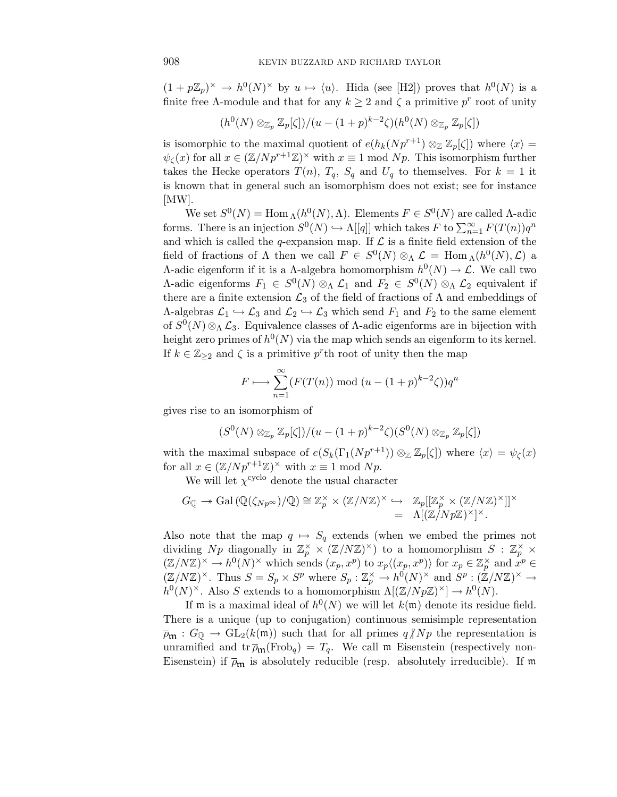$(1 + p\mathbb{Z}_p)^{\times} \to h^0(N)^{\times}$  by  $u \mapsto \langle u \rangle$ . Hida (see [H2]) proves that  $h^0(N)$  is a finite free Λ-module and that for any  $k \geq 2$  and  $\zeta$  a primitive  $p^r$  root of unity

$$
(h^0(N) \otimes_{\mathbb{Z}_p} \mathbb{Z}_p[\zeta])/ (u - (1+p)^{k-2}\zeta)(h^0(N) \otimes_{\mathbb{Z}_p} \mathbb{Z}_p[\zeta])
$$

is isomorphic to the maximal quotient of  $e(h_k(Np^{r+1}) \otimes_{\mathbb{Z}} \mathbb{Z}_p[\zeta])$  where  $\langle x \rangle =$  $\psi_{\zeta}(x)$  for all  $x \in (\mathbb{Z}/Np^{r+1}\mathbb{Z})^{\times}$  with  $x \equiv 1 \mod Np$ . This isomorphism further takes the Hecke operators  $T(n)$ ,  $T_q$ ,  $S_q$  and  $U_q$  to themselves. For  $k = 1$  it is known that in general such an isomorphism does not exist; see for instance [MW].

We set  $S^0(N) = \text{Hom}_{\Lambda}(h^0(N), \Lambda)$ . Elements  $F \in S^0(N)$  are called  $\Lambda$ -adic forms. There is an injection  $S^0(N) \hookrightarrow \Lambda[[q]]$  which takes  $F$  to  $\sum_{n=1}^{\infty} F(T(n))q^n$ and which is called the *q*-expansion map. If  $\mathcal L$  is a finite field extension of the field of fractions of  $\Lambda$  then we call  $F \in S^{0}(N) \otimes_{\Lambda} \mathcal{L} = \text{Hom}_{\Lambda}(h^{0}(N), \mathcal{L})$  a Λ-adic eigenform if it is a Λ-algebra homomorphism  $h^0(N)$  → L. We call two *Λ*-adic eigenforms  $F_1$  ∈  $S^0(N)$  ⊗<sub>Λ</sub>  $\mathcal{L}_1$  and  $F_2$  ∈  $S^0(N)$  ⊗<sub>Λ</sub>  $\mathcal{L}_2$  equivalent if there are a finite extension  $\mathcal{L}_3$  of the field of fractions of  $\Lambda$  and embeddings of  $\Lambda$ -algebras  $\mathcal{L}_1 \hookrightarrow \mathcal{L}_3$  and  $\mathcal{L}_2 \hookrightarrow \mathcal{L}_3$  which send  $F_1$  and  $F_2$  to the same element of  $S^0(N) \otimes_\Lambda \mathcal{L}_3$ . Equivalence classes of A-adic eigenforms are in bijection with height zero primes of  $h^0(N)$  via the map which sends an eigenform to its kernel. If  $k \in \mathbb{Z}_{\geq 2}$  and  $\zeta$  is a primitive  $p^r$ th root of unity then the map

$$
F \longmapsto \sum_{n=1}^{\infty} (F(T(n)) \bmod (u - (1+p)^{k-2}\zeta))q^n
$$

gives rise to an isomorphism of

$$
(S^0(N) \otimes_{\mathbb{Z}_p} \mathbb{Z}_p[\zeta])/(u - (1+p)^{k-2}\zeta)(S^0(N) \otimes_{\mathbb{Z}_p} \mathbb{Z}_p[\zeta])
$$

with the maximal subspace of  $e(S_k(\Gamma_1(Np^{r+1})) \otimes_{\mathbb{Z}} \mathbb{Z}_p[\zeta])$  where  $\langle x \rangle = \psi_\zeta(x)$ for all  $x \in (\mathbb{Z}/Np^{r+1}\mathbb{Z})^{\times}$  with  $x \equiv 1 \mod Np$ .

We will let  $\chi^{\text{cyclo}}$  denote the usual character

$$
G_{\mathbb{Q}} \twoheadrightarrow \mathrm{Gal}\left(\mathbb{Q}(\zeta_{Np^{\infty}})/\mathbb{Q}\right) \cong \mathbb{Z}_p^{\times} \times (\mathbb{Z}/N\mathbb{Z})^{\times} \hookrightarrow \mathbb{Z}_p[[\mathbb{Z}_p^{\times} \times (\mathbb{Z}/N\mathbb{Z})^{\times}]]^{\times} \\
= \Lambda[(\mathbb{Z}/Np\mathbb{Z})^{\times}]^{\times}.
$$

Also note that the map  $q \mapsto S_q$  extends (when we embed the primes not dividing  $Np$  diagonally in  $\mathbb{Z}_p^{\times} \times (\mathbb{Z}/N\mathbb{Z})^{\times}$  to a homomorphism  $S : \mathbb{Z}_p^{\times} \times$  $(\mathbb{Z}/N\mathbb{Z})^{\times} \to h^{0}(N)^{\times}$  which sends  $(x_p, x^p)$  to  $x_p \langle (x_p, x^p) \rangle$  for  $x_p \in \mathbb{Z}_p^{\times}$  and  $x^p \in$  $(\mathbb{Z}/N\mathbb{Z})^{\times}$ . Thus  $S = S_p \times S^p$  where  $S_p : \mathbb{Z}_p^{\times} \to h^0(N)^{\times}$  and  $S^p : (\mathbb{Z}/N\mathbb{Z})^{\times} \to$  $h^0(N)^\times$ . Also *S* extends to a homomorphism  $\Lambda[(\mathbb{Z}/Np\mathbb{Z})^\times] \to h^0(N)$ .

If m is a maximal ideal of  $h^0(N)$  we will let  $k(m)$  denote its residue field. There is a unique (up to conjugation) continuous semisimple representation  $\overline{\rho}_{\mathfrak{m}} : G_{\mathbb{Q}} \to GL_2(k(\mathfrak{m}))$  such that for all primes  $q/Np$  the representation is unramified and  $\text{tr } \overline{\rho}_{\mathfrak{m}}(\text{Frob}_q) = T_q$ . We call  $\mathfrak{m}$  Eisenstein (respectively non-Eisenstein) if  $\bar{\rho}_{m}$  is absolutely reducible (resp. absolutely irreducible). If m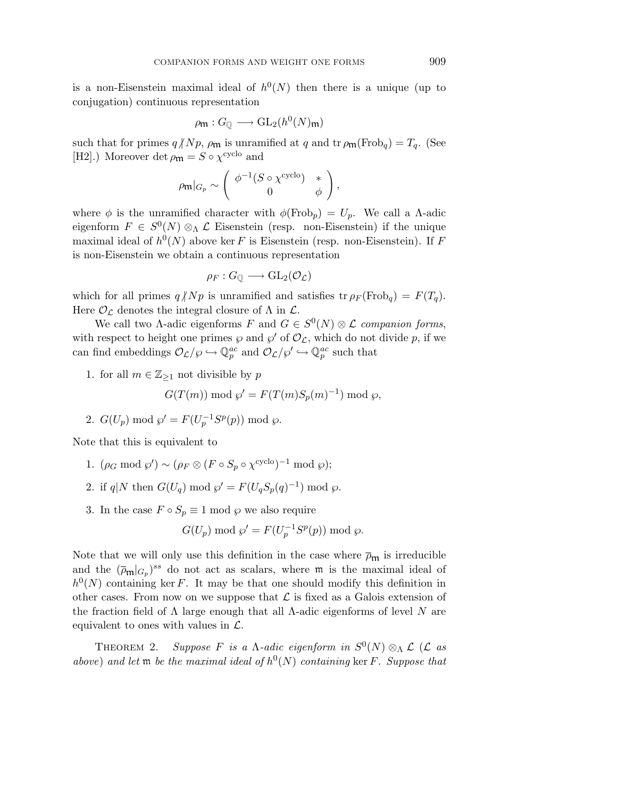is a non-Eisenstein maximal ideal of  $h^0(N)$  then there is a unique (up to conjugation) continuous representation

$$
\rho_{\mathfrak{m}}: G_{\mathbb{Q}} \longrightarrow \mathrm{GL}_2(h^0(N)_{\mathfrak{m}})
$$

such that for primes  $q/Np$ ,  $\rho_{\mathfrak{m}}$  is unramified at  $q$  and  $\operatorname{tr}\rho_{\mathfrak{m}}(\operatorname{Frob}_q) = T_q$ . (See [H2].) Moreover det  $\rho_{\mathfrak{m}} = S \circ \chi^{\text{cyclo}}$  and

$$
\rho_{\mathfrak{m}}|_{G_p} \sim \left( \begin{array}{cc} \phi^{-1}(S \circ \chi^{\text{cyclo}}) & * \\ 0 & \phi \end{array} \right),
$$

where  $\phi$  is the unramified character with  $\phi(\text{Frob}_p) = U_p$ . We call a  $\Lambda$ -adic eigenform  $F \in S^0(N) \otimes_\Lambda \mathcal{L}$  Eisenstein (resp. non-Eisenstein) if the unique maximal ideal of  $h^0(N)$  above ker *F* is Eisenstein (resp. non-Eisenstein). If *F* is non-Eisenstein we obtain a continuous representation

$$
\rho_F:G_{\mathbb{Q}}\longrightarrow \mathrm{GL}_2(\mathcal{O}_{\mathcal{L}})
$$

which for all primes  $q/Np$  is unramified and satisfies  $\text{tr } \rho_F(\text{Frob}_q) = F(T_q)$ . Here  $\mathcal{O}_{\mathcal{L}}$  denotes the integral closure of  $\Lambda$  in  $\mathcal{L}$ .

We call two  $\Lambda$ -adic eigenforms *F* and  $G \in S^0(N) \otimes \mathcal{L}$  companion forms, with respect to height one primes  $\wp$  and  $\wp'$  of  $\mathcal{O}_\mathcal{L}$ , which do not divide p, if we can find embeddings  $\mathcal{O}_{\mathcal{L}}/\wp \hookrightarrow \mathbb{Q}_p^{ac}$  and  $\mathcal{O}_{\mathcal{L}}/\wp' \hookrightarrow \mathbb{Q}_p^{ac}$  such that

1. for all  $m \in \mathbb{Z}_{\geq 1}$  not divisible by p

$$
G(T(m)) \bmod \wp' = F(T(m)S_p(m)^{-1}) \bmod \wp,
$$

2.  $G(U_p) \text{ mod } \wp' = F(U_p^{-1}S^p(p)) \text{ mod } \wp.$ 

Note that this is equivalent to

- 1.  $(\rho_G \mod \wp') \sim (\rho_F \otimes (F \circ S_p \circ \chi^{\text{cyclo}})^{-1} \mod \wp);$
- 2. if  $q|N$  then  $G(U_q) \text{ mod } \wp' = F(U_qS_q(q)^{-1}) \text{ mod } \wp$ .
- 3. In the case  $F \circ S_p \equiv 1 \text{ mod } \wp$  we also require

$$
G(U_p) \bmod \wp' = F(U_p^{-1}S^p(p)) \bmod \wp.
$$

Note that we will only use this definition in the case where  $\bar{\rho}_{m}$  is irreducible and the  $(\overline{\rho}_{\mathfrak{m}}|_{G_p})^{ss}$  do not act as scalars, where  $\mathfrak{m}$  is the maximal ideal of  $h^0(N)$  containing ker *F*. It may be that one should modify this definition in other cases. From now on we suppose that  $\mathcal L$  is fixed as a Galois extension of the fraction field of Λ large enough that all Λ-adic eigenforms of level *N* are equivalent to ones with values in  $\mathcal{L}$ .

THEOREM 2. Suppose *F* is a Λ-adic eigenform in  $S^0(N) \otimes_{\Lambda} \mathcal{L}$  (*L* as above) and let  $\mathfrak{m}$  be the maximal ideal of  $h^0(N)$  containing ker *F*. Suppose that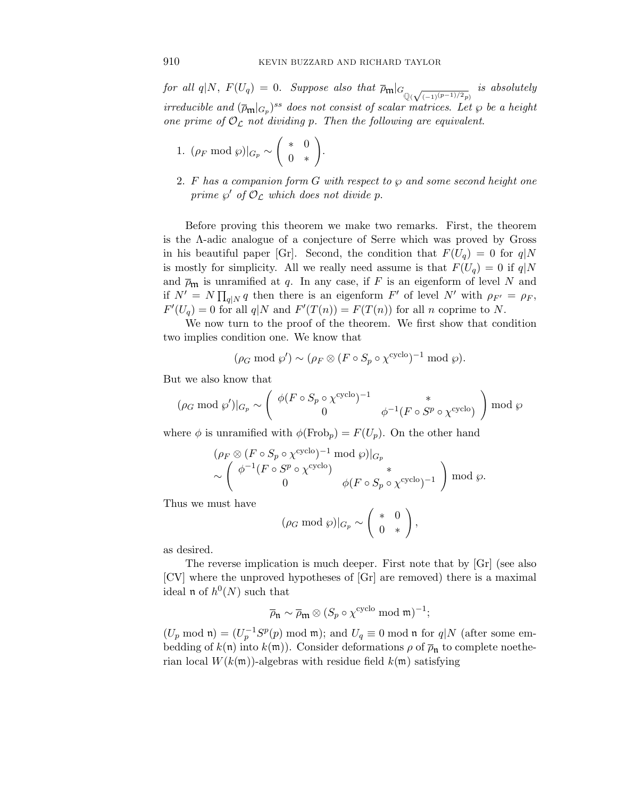$for \ all \ q|N, \ F(U_q) = 0. \ \ Suppose \ also \ that \ \overline{\rho}_{\mathfrak{m}}|_{G_{\mathbb{Q}(\sqrt{(-1)^{(p-1) / 2}}p)}} \ \ is \ absolutely \$ irreducible and  $(\overline{\rho}_{\mathfrak{m}}|_{G_p})^{ss}$  does not consist of scalar matrices. Let  $\wp$  be a height one prime of  $\mathcal{O}_{\mathcal{L}}$  not dividing p. Then the following are equivalent.

1. 
$$
(\rho_F \mod \wp)|_{G_p} \sim \begin{pmatrix} * & 0 \\ 0 & * \end{pmatrix}
$$
.

2. *F* has a companion form *G* with respect to *℘* and some second height one prime  $\wp'$  of  $\mathcal{O}_\mathcal{L}$  which does not divide p.

Before proving this theorem we make two remarks. First, the theorem is the Λ-adic analogue of a conjecture of Serre which was proved by Gross in his beautiful paper [Gr]. Second, the condition that  $F(U_q) = 0$  for  $q|N$ is mostly for simplicity. All we really need assume is that  $F(U_q) = 0$  if  $q|N$ and  $\overline{\rho}_{m}$  is unramified at *q*. In any case, if *F* is an eigenform of level *N* and if  $N' = N \prod_{q \mid N} q$  then there is an eigenform  $F'$  of level  $N'$  with  $\rho_{F'} = \rho_F$ ,  $F'(U_q) = 0$  for all  $q|N$  and  $F'(T(n)) = F(T(n))$  for all *n* coprime to *N*.

We now turn to the proof of the theorem. We first show that condition two implies condition one. We know that

$$
(\rho_G \bmod \varphi') \sim (\rho_F \otimes (F \circ S_p \circ \chi^{\text{cyclo}})^{-1} \bmod \varphi).
$$

But we also know that

$$
(\rho_G \bmod \varphi')|_{G_p} \sim \left(\begin{array}{cc} \phi(F \circ S_p \circ \chi^{\text{cyclo}})^{-1} & * \\ 0 & \phi^{-1}(F \circ S^p \circ \chi^{\text{cyclo}}) \end{array}\right) \bmod \varphi
$$

where  $\phi$  is unramified with  $\phi(\text{Frob}_p) = F(U_p)$ . On the other hand

$$
\begin{aligned} & (\rho_F \otimes (F \circ S_p \circ \chi^{\text{cyclo}})^{-1} \bmod \wp)|_{G_p} \\ &\sim \left( \begin{array}{cc} \phi^{-1} (F \circ S^p \circ \chi^{\text{cyclo}}) & * \\ 0 & \phi (F \circ S_p \circ \chi^{\text{cyclo}})^{-1} \end{array} \right) \bmod \wp. \end{aligned}
$$

Thus we must have

$$
(\rho_G \bmod{\wp})|_{G_p} \sim \left(\begin{array}{cc} * & 0 \\ 0 & * \end{array}\right),
$$

as desired.

The reverse implication is much deeper. First note that by [Gr] (see also [CV] where the unproved hypotheses of [Gr] are removed) there is a maximal ideal **n** of  $h^0(N)$  such that

$$
\overline{\rho}_{\mathfrak{n}} \sim \overline{\rho}_{\mathfrak{m}} \otimes (S_p \circ \chi^{\text{cyclo}} \bmod \mathfrak{m})^{-1};
$$

 $(U_p \mod \mathfrak{n}) = (U_p^{-1}S^p(p) \mod \mathfrak{m})$ ; and  $U_q \equiv 0 \mod \mathfrak{n}$  for  $q|N$  (after some embedding of  $k(\mathfrak{n})$  into  $k(\mathfrak{m})$ ). Consider deformations  $\rho$  of  $\overline{\rho}_{\mathfrak{n}}$  to complete noetherian local  $W(k(\mathfrak{m}))$ -algebras with residue field  $k(\mathfrak{m})$  satisfying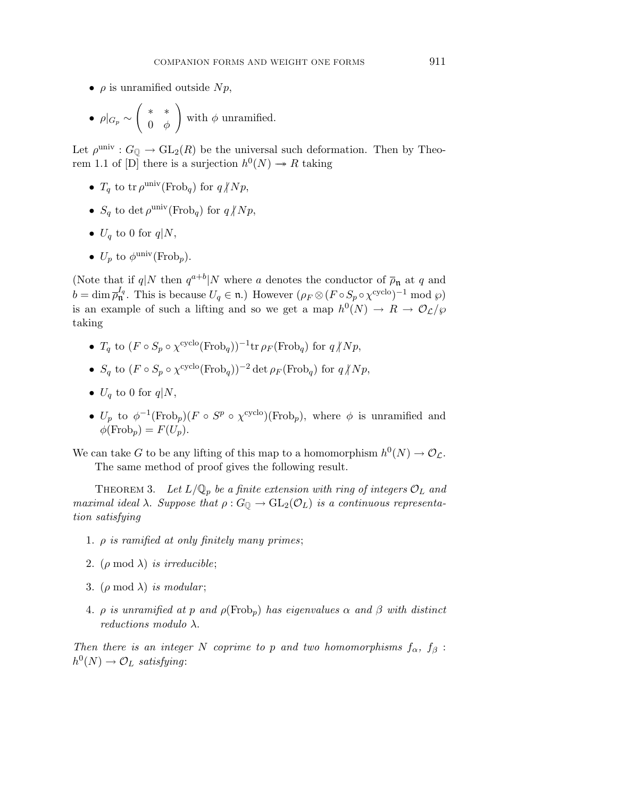- $\rho$  is unramified outside  $Np$ ,
- $\bullet$   $\rho|_{G_p} \sim$ Ã ∗ ∗ 0 *φ* ! with  $\phi$  unramified.

Let  $\rho^{\text{univ}} : G_{\mathbb{O}} \to GL_2(R)$  be the universal such deformation. Then by Theorem 1.1 of [D] there is a surjection  $h^0(N) \to R$  taking

- $T_q$  to tr  $\rho^{\text{univ}}(\text{Frob}_q)$  for  $q/Np$ ,
- $S_q$  to det  $\rho^{\text{univ}}(\text{Frob}_q)$  for  $q/Np$ ,
- $U_q$  to 0 for  $q|N$ ,
- $U_p$  to  $\phi^{\text{univ}}(\text{Frob}_p)$ .

(Note that if  $q|N$  then  $q^{a+b}|N$  where *a* denotes the conductor of  $\overline{\rho}_{\mathfrak{n}}$  at *q* and  $b = \dim \overline{\rho}_{\mathfrak{n}}^{I_q}$ . This is because  $U_q \in \mathfrak{n}$ .) However  $(\rho_F \otimes (F \circ S_p \circ \chi^{\text{cyclo}})^{-1} \mod \wp)$ is an example of such a lifting and so we get a map  $h^0(N) \to R \to \mathcal{O}_\mathcal{L}/\wp$ taking

- *T<sub>a</sub>* to  $(F \circ S_p \circ \chi^{\text{cyclo}}(\text{Frob}_q))^{-1}$ tr  $\rho_F(\text{Frob}_q)$  for  $q \nmid Np$ ,
- *S<sub><i>q*</sub> to  $(F \circ S_p \circ \chi^{\text{cyclo}}(\text{Frob}_q))^{-2} \det \rho_F(\text{Frob}_q)$  for  $q \nmid Np$ ,
- $U_q$  to 0 for  $q|N$ ,
- $U_p$  to  $\phi^{-1}(\text{Frob}_p)(F \circ S^p \circ \chi^{\text{cyclo}})(\text{Frob}_p)$ , where  $\phi$  is unramified and  $\phi(\text{Frob}_p) = F(U_p).$

We can take *G* to be any lifting of this map to a homomorphism  $h^0(N) \to \mathcal{O}_\mathcal{L}$ . The same method of proof gives the following result.

THEOREM 3. Let  $L/\mathbb{Q}_p$  be a finite extension with ring of integers  $\mathcal{O}_L$  and maximal ideal  $\lambda$ . Suppose that  $\rho: G_{\mathbb{Q}} \to GL_2(\mathcal{O}_L)$  is a continuous representation satisfying

- 1. *ρ* is ramified at only finitely many primes;
- 2. ( $\rho \mod \lambda$ ) is irreducible;
- 3. ( $\rho \mod \lambda$ ) is modular;
- 4. *ρ* is unramified at *p* and *ρ*(Frob*p*) has eigenvalues *α* and *β* with distinct reductions modulo *λ*.

Then there is an integer *N* coprime to *p* and two homomorphisms  $f_{\alpha}$ ,  $f_{\beta}$ :  $h^0(N) \to \mathcal{O}_L$  satisfying: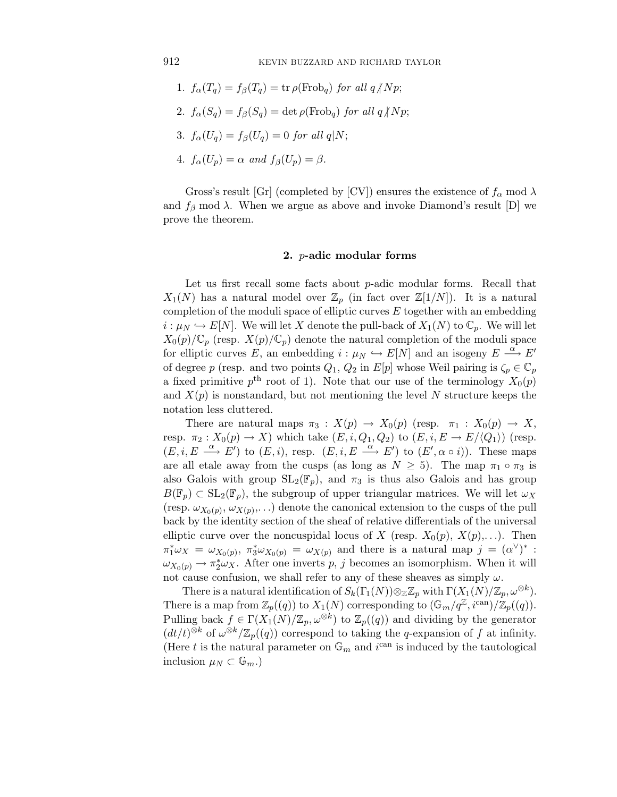- 1.  $f_{\alpha}(T_q) = f_{\beta}(T_q) = \text{tr} \rho(\text{Frob}_q) \text{ for all } q/Np;$
- 2.  $f_{\alpha}(S_q) = f_{\beta}(S_q) = \det \rho(\text{Frob}_q)$  for all  $q/Np$ ;
- 3.  $f_{\alpha}(U_q) = f_{\beta}(U_q) = 0$  for all  $q|N;$
- 4.  $f_{\alpha}(U_p) = \alpha$  and  $f_{\beta}(U_p) = \beta$ .

Gross's result [Gr] (completed by [CV]) ensures the existence of  $f_\alpha$  mod  $\lambda$ and  $f_\beta$  mod  $\lambda$ . When we argue as above and invoke Diamond's result [D] we prove the theorem.

## **2.** *p***-adic modular forms**

Let us first recall some facts about *p*-adic modular forms. Recall that  $X_1(N)$  has a natural model over  $\mathbb{Z}_p$  (in fact over  $\mathbb{Z}[1/N]$ ). It is a natural completion of the moduli space of elliptic curves *E* together with an embedding  $i:\mu_N\hookrightarrow E[N]$ . We will let *X* denote the pull-back of  $X_1(N)$  to  $\mathbb{C}_p$ . We will let  $X_0(p)/\mathbb{C}_p$  (resp.  $X(p)/\mathbb{C}_p$ ) denote the natural completion of the moduli space for elliptic curves *E*, an embedding  $i : \mu_N \hookrightarrow E[N]$  and an isogeny  $E \stackrel{\alpha}{\longrightarrow} E'$ of degree *p* (resp. and two points  $Q_1$ ,  $Q_2$  in  $E[p]$  whose Weil pairing is  $\zeta_p \in \mathbb{C}_p$ a fixed primitive  $p^{\text{th}}$  root of 1). Note that our use of the terminology  $X_0(p)$ and  $X(p)$  is nonstandard, but not mentioning the level N structure keeps the notation less cluttered.

There are natural maps  $\pi_3 : X(p) \to X_0(p)$  (resp.  $\pi_1 : X_0(p) \to X$ , resp.  $\pi_2: X_0(p) \to X$ ) which take  $(E, i, Q_1, Q_2)$  to  $(E, i, E \to E/\langle Q_1 \rangle)$  (resp.  $(E, i, E \stackrel{\alpha}{\longrightarrow} E')$  to  $(E, i)$ , resp.  $(E, i, E \stackrel{\alpha}{\longrightarrow} E')$  to  $(E', \alpha \circ i)$ ). These maps are all etale away from the cusps (as long as  $N \geq 5$ ). The map  $\pi_1 \circ \pi_3$  is also Galois with group  $SL_2(\mathbb{F}_p)$ , and  $\pi_3$  is thus also Galois and has group  $B(\mathbb{F}_p) \subset SL_2(\mathbb{F}_p)$ , the subgroup of upper triangular matrices. We will let  $\omega_X$ (resp.  $\omega_{X_0(p)}, \omega_{X(p)}, \ldots$ ) denote the canonical extension to the cusps of the pull back by the identity section of the sheaf of relative differentials of the universal elliptic curve over the noncuspidal locus of *X* (resp.  $X_0(p), X(p), \ldots$ ). Then  $\pi_1^* \omega_X = \omega_{X_0(p)}, \ \pi_3^* \omega_{X_0(p)} = \omega_{X(p)}$  and there is a natural map  $j = (\alpha^{\vee})^*$ :  $\omega_{X_0(p)} \to \pi_2^* \omega_X$ . After one inverts *p*, *j* becomes an isomorphism. When it will not cause confusion, we shall refer to any of these sheaves as simply  $\omega$ .

There is a natural identification of  $S_k(\Gamma_1(N))\otimes_{\mathbb{Z}}\mathbb{Z}_p$  with  $\Gamma(X_1(N)/\mathbb{Z}_p, \omega^{\otimes k})$ . There is a map from  $\mathbb{Z}_p((q))$  to  $X_1(N)$  corresponding to  $(\mathbb{G}_m/q^{\mathbb{Z}}, i^{\text{can}})/\mathbb{Z}_p((q))$ . Pulling back  $f \in \Gamma(X_1(N)/\mathbb{Z}_p, \omega^{\otimes k})$  to  $\mathbb{Z}_p((q))$  and dividing by the generator  $(dt/t)^{\otimes k}$  of  $\omega^{\otimes k}/\mathbb{Z}_p((q))$  correspond to taking the *q*-expansion of *f* at infinity. (Here *t* is the natural parameter on  $\mathbb{G}_m$  and  $i^{\text{can}}$  is induced by the tautological inclusion  $\mu_N \subset \mathbb{G}_m$ .)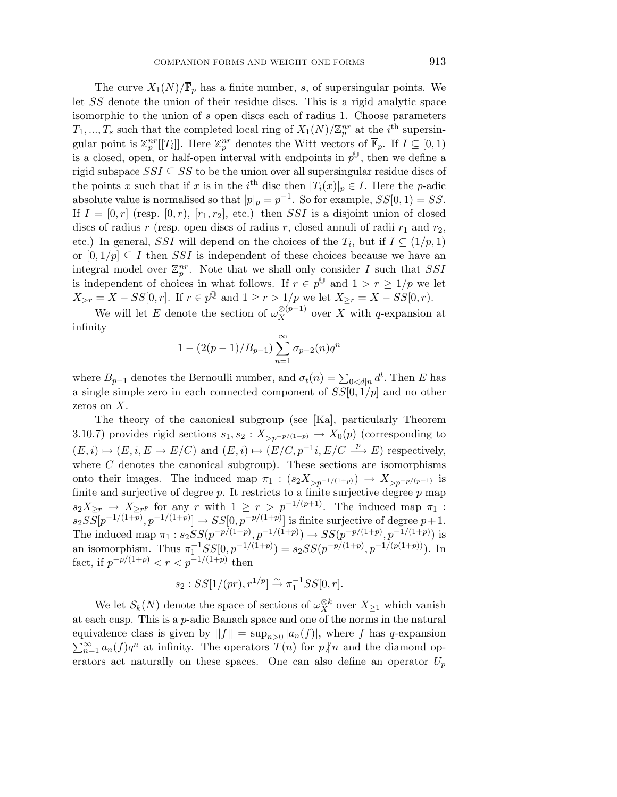The curve  $X_1(N)/\overline{\mathbb{F}}_p$  has a finite number, *s*, of supersingular points. We let *SS* denote the union of their residue discs. This is a rigid analytic space isomorphic to the union of *s* open discs each of radius 1. Choose parameters  $T_1, ..., T_s$  such that the completed local ring of  $X_1(N)/\mathbb{Z}_p^{nr}$  at the *i*<sup>th</sup> supersingular point is  $\mathbb{Z}_p^{nr}[[T_i]]$ . Here  $\mathbb{Z}_p^{nr}$  denotes the Witt vectors of  $\overline{\mathbb{F}}_p$ . If  $I \subseteq [0,1)$ is a closed, open, or half-open interval with endpoints in  $p^{\mathbb{Q}}$ , then we define a rigid subspace *SSI* ⊆ *SS* to be the union over all supersingular residue discs of the points *x* such that if *x* is in the *i*<sup>th</sup> disc then  $|T_i(x)|_p \in I$ . Here the *p*-adic absolute value is normalised so that  $|p|_p = p^{-1}$ . So for example,  $SS[0, 1) = SS$ . If  $I = [0, r]$  (resp.  $[0, r)$ ,  $[r_1, r_2]$ , etc.) then *SSI* is a disjoint union of closed discs of radius  $r$  (resp. open discs of radius  $r$ , closed annuli of radii  $r_1$  and  $r_2$ , etc.) In general, *SSI* will depend on the choices of the  $T_i$ , but if  $I \subseteq (1/p, 1)$ or  $[0, 1/p] \subseteq I$  then *SSI* is independent of these choices because we have an integral model over  $\mathbb{Z}_p^{nr}$ . Note that we shall only consider *I* such that *SSI* is independent of choices in what follows. If  $r \in p^{\mathbb{Q}}$  and  $1 > r \geq 1/p$  we let  $X_{>r} = X - SS[0, r]$ . If  $r \in p^{\mathbb{Q}}$  and  $1 \ge r > 1/p$  we let  $X_{\ge r} = X - SS[0, r)$ .

We will let *E* denote the section of  $\omega_X^{\otimes (p-1)}$  over *X* with *q*-expansion at infinity

$$
1 - (2(p - 1)/B_{p-1}) \sum_{n=1}^{\infty} \sigma_{p-2}(n) q^n
$$

where  $B_{p-1}$  denotes the Bernoulli number, and  $\sigma_t(n) = \sum_{0 \le d \mid n} d^t$ . Then *E* has a single simple zero in each connected component of *SS*[0*,* 1*/p*] and no other zeros on *X*.

The theory of the canonical subgroup (see [Ka], particularly Theorem 3.10.7) provides rigid sections  $s_1, s_2 : X_{>p^{-p/(1+p)}} \to X_0(p)$  (corresponding to  $(E, i) \mapsto (E, i, E \to E/C)$  and  $(E, i) \mapsto (E/C, p^{-1}i, E/C \stackrel{p}{\longrightarrow} E)$  respectively, where  $C$  denotes the canonical subgroup). These sections are isomorphisms onto their images. The induced map  $\pi_1$  :  $(s_2 X_{>p^{-1/(1+p)}}) \rightarrow X_{>p^{-p/(p+1)}}$  is finite and surjective of degree *p*. It restricts to a finite surjective degree *p* map  $s_2X_{\geq r} \to X_{\geq r}$  for any *r* with  $1 \geq r > p^{-1/(p+1)}$ . The induced map  $\pi_1$ :  $s_2SS[p^{-1/(1+p)}, p^{-1/(1+p)}] \to SS[0, p^{-p/(1+p)}]$  is finite surjective of degree  $p+1$ . The induced map  $\pi_1 : s_2SS(p^{-p/(1+p)}, p^{-1/(1+p)}) \rightarrow SS(p^{-p/(1+p)}, p^{-1/(1+p)})$  is an isomorphism. Thus  $\pi_1^{-1}SS[0, p^{-1/(1+p)}) = s_2SS(p^{-p/(1+p)}, p^{-1/(p(1+p))})$ . In fact, if  $p^{-p/(1+p)} < r < p^{-1/(1+p)}$  then

$$
s_2: SS[1/(pr), r^{1/p}] \to \pi_1^{-1}SS[0, r].
$$

We let  $\mathcal{S}_k(N)$  denote the space of sections of  $\omega_X^{\otimes k}$  over  $X_{\geq 1}$  which vanish at each cusp. This is a *p*-adic Banach space and one of the norms in the natural equivalence class is given by  $||f|| = \sup_{n>0} |a_n(f)|$ , where f has q-expansion  $\sum_{n=1}^{\infty} a_n(f) q^n$  at infinity. The operators  $T(n)$  for  $p \nmid n$  and the diamond operators act naturally on these spaces. One can also define an operator  $U_p$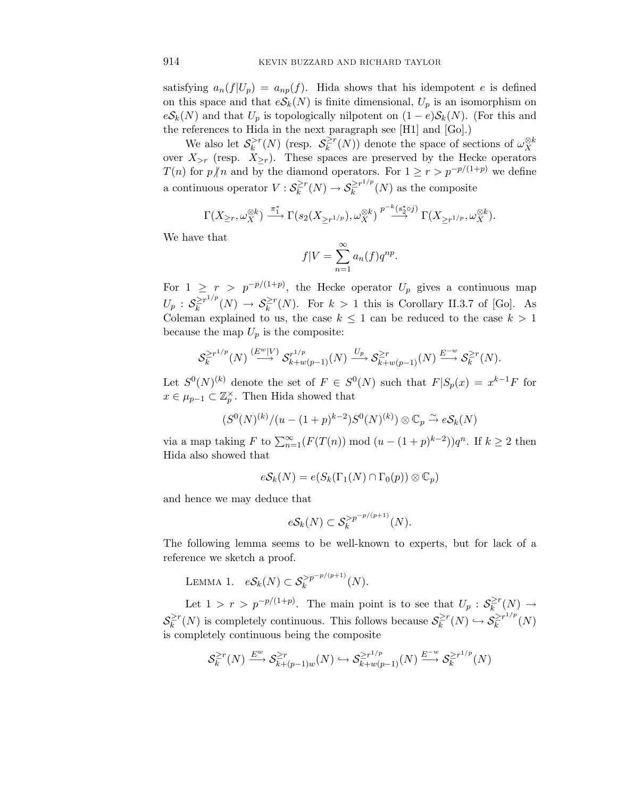satisfying  $a_n(f|U_p) = a_{np}(f)$ . Hida shows that his idempotent *e* is defined on this space and that  $eS_k(N)$  is finite dimensional,  $U_p$  is an isomorphism on  $eS_k(N)$  and that  $U_p$  is topologically nilpotent on  $(1-e)S_k(N)$ . (For this and the references to Hida in the next paragraph see [H1] and [Go].)

We also let  $S_k^{>r}(N)$  (resp.  $S_k^{\geq r}(N)$ ) denote the space of sections of  $\omega_X^{\otimes k}$ over  $X_{\geq r}$  (resp.  $X_{\geq r}$ ). These spaces are preserved by the Hecke operators *T*(*n*) for *p*<sup> $\mid$ *n*</sup> and by the diamond operators. For 1 ≥ *r* > *p*<sup>-*p*/(1+*p*) we define</sup> a continuous operator  $V : \mathcal{S}_k^{\ge r}(N) \to \mathcal{S}_k^{\ge r^{1/p}}(N)$  as the composite

$$
\Gamma(X_{\geq r}, \omega_X^{\otimes k}) \xrightarrow{\pi_1^*} \Gamma(s_2(X_{\geq r^{1/p}}), \omega_X^{\otimes k}) \xrightarrow{p^{-k}(s_2^*\circ j)} \Gamma(X_{\geq r^{1/p}}, \omega_X^{\otimes k}).
$$

We have that

$$
f|V = \sum_{n=1}^{\infty} a_n(f)q^{np}.
$$

For  $1 \geq r > p^{-p/(1+p)}$ , the Hecke operator  $U_p$  gives a continuous map  $U_p$  :  $S_k^{\geq r1/p}(N) \to S_k^{\geq r}(N)$ . For  $k > 1$  this is Corollary II.3.7 of [Go]. As Coleman explained to us, the case  $k \leq 1$  can be reduced to the case  $k > 1$ because the map  $U_p$  is the composite:

$$
\mathcal{S}_k^{\geq r^{1/p}}(N) \stackrel{(E^w|V)}{\longrightarrow} \mathcal{S}_{k+w(p-1)}^{r^{1/p}}(N) \stackrel{U_p}{\longrightarrow} \mathcal{S}_{k+w(p-1)}^{\geq r}(N) \stackrel{E^{-w}}{\longrightarrow} \mathcal{S}_k^{\geq r}(N).
$$

Let  $S^0(N)^{(k)}$  denote the set of  $F \in S^0(N)$  such that  $F|S_p(x) = x^{k-1}F$  for  $x \in \mu_{p-1} \subset \mathbb{Z}_p^{\times}$ . Then Hida showed that

$$
(S^0(N)^{(k)}/(u-(1+p)^{k-2})S^0(N)^{(k)})\otimes \mathbb{C}_p \overset{\sim}{\to} e\mathcal{S}_k(N)
$$

via a map taking *F* to  $\sum_{n=1}^{\infty} (F(T(n)) \mod (u - (1+p)^{k-2})) q^n$ . If  $k \geq 2$  then Hida also showed that

$$
e\mathcal{S}_k(N) = e(S_k(\Gamma_1(N) \cap \Gamma_0(p)) \otimes \mathbb{C}_p)
$$

and hence we may deduce that

$$
eS_k(N) \subset S_k^{>p^{-p/(p+1)}}(N).
$$

The following lemma seems to be well-known to experts, but for lack of a reference we sketch a proof.

LEMMA 1. 
$$
eS_k(N) \subset S_k^{>p^{-p/(p+1)}}(N)
$$
.

Let  $1 > r > p^{-p/(1+p)}$ . The main point is to see that  $U_p : \mathcal{S}_k^{\geq r}(N) \to$  $\mathcal{S}_k^{\geq r}(N)$  is completely continuous. This follows because  $\mathcal{S}_k^{\geq r}(N) \hookrightarrow \mathcal{S}_k^{\geq r1/p}(N)$ is completely continuous being the composite

$$
\mathcal{S}_k^{\geq r}(N) \xrightarrow{E^w} \mathcal{S}_{k+(p-1)w}^{\geq r}(N) \hookrightarrow \mathcal{S}_{k+w(p-1)}^{\geq r^{1/p}}(N) \xrightarrow{E^{-w}} \mathcal{S}_k^{\geq r^{1/p}}(N)
$$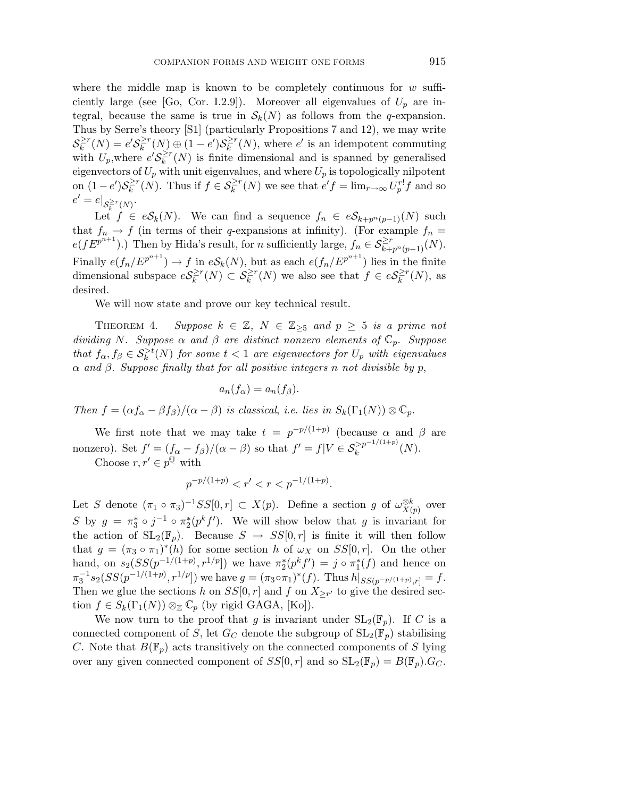where the middle map is known to be completely continuous for *w* sufficiently large (see [Go, Cor. I.2.9]). Moreover all eigenvalues of  $U_p$  are integral, because the same is true in  $\mathcal{S}_k(N)$  as follows from the *q*-expansion. Thus by Serre's theory [S1] (particularly Propositions 7 and 12), we may write  $\mathcal{S}_k^{\geq r}(N) = e^t \mathcal{S}_k^{\geq r}(N) \oplus (1-e^t) \mathcal{S}_k^{\geq r}(N)$ , where *e'* is an idempotent commuting with  $U_p$ , where  $e'S_k^{\geq r}(N)$  is finite dimensional and is spanned by generalised eigenvectors of  $U_p$  with unit eigenvalues, and where  $U_p$  is topologically nilpotent on  $(1-e')\mathcal{S}_k^{\geq r}(\tilde{N})$ . Thus if  $f \in \mathcal{S}_k^{\geq r}(N)$  we see that  $e'f = \lim_{r \to \infty} U_p^{r!}f$  and so  $e' = e|_{\mathcal{S}_k^{\geq r}(N)}.$ 

Let  $f \in eS_k(N)$ . We can find a sequence  $f_n \in eS_{k+p^n(p-1)}(N)$  such that  $f_n \to f$  (in terms of their *q*-expansions at infinity). (For example  $f_n =$  $e(fE^{p^{n+1}})$ .) Then by Hida's result, for *n* sufficiently large,  $f_n \in \mathcal{S}_{k+p^n(p-1)}^{\geq r}(N)$ . Finally  $e(f_n/E^{p^{n+1}}) \to f$  in  $eS_k(N)$ , but as each  $e(f_n/E^{p^{n+1}})$  lies in the finite dimensional subspace  $eS_k^{\geq r}(N) \subset S_k^{\geq r}(N)$  we also see that  $f \in eS_k^{\geq r}(N)$ , as desired.

We will now state and prove our key technical result.

THEOREM 4. Suppose  $k \in \mathbb{Z}$ ,  $N \in \mathbb{Z}_{\geq 5}$  and  $p \geq 5$  is a prime not dividing *N*. Suppose  $\alpha$  and  $\beta$  are distinct nonzero elements of  $\mathbb{C}_p$ . Suppose that  $f_{\alpha}, f_{\beta} \in \mathcal{S}_k^{>t}(N)$  for some  $t < 1$  are eigenvectors for  $U_p$  with eigenvalues *α* and *β*. Suppose finally that for all positive integers *n* not divisible by *p*,

$$
a_n(f_\alpha)=a_n(f_\beta).
$$

Then  $f = (\alpha f_\alpha - \beta f_\beta)/(\alpha - \beta)$  is classical, i.e. lies in  $S_k(\Gamma_1(N)) \otimes \mathbb{C}_p$ .

We first note that we may take  $t = p^{-p/(1+p)}$  (because  $\alpha$  and  $\beta$  are nonzero). Set  $f' = (f_{\alpha} - f_{\beta})/(\alpha - \beta)$  so that  $f' = f|V \in \mathcal{S}_k^{>p^{-1/(1+p)}}(N)$ . Choose  $r, r' \in p^{\mathbb{Q}}$  with

$$
p^{-p/(1+p)} < r' < r < p^{-1/(1+p)}.
$$

Let *S* denote  $(\pi_1 \circ \pi_3)^{-1}SS[0,r] \subset X(p)$ . Define a section *g* of  $\omega_{X(p)}^{\otimes k}$  over *S* by  $g = \pi_3^* \circ j^{-1} \circ \pi_2^*(p^k f')$ . We will show below that *g* is invariant for the action of  $SL_2(\mathbb{F}_p)$ . Because  $S \to SS[0, r]$  is finite it will then follow that  $g = (\pi_3 \circ \pi_1)^*(h)$  for some section *h* of  $\omega_X$  on  $SS[0,r]$ . On the other hand, on  $s_2(SS(p^{-1/(1+p)}, r^{1/p}))$  we have  $\pi_2^*(p^k f') = j \circ \pi_1^*(f)$  and hence on  $\pi_3^{-1} s_2(SS(p^{-1/(1+p)}, r^{1/p}))$  we have  $g = (\pi_3 \circ \pi_1)^*(f)$ . Thus  $h|_{SS(p^{-p/(1+p)}, r]} = f$ . Then we glue the sections *h* on  $SS[0, r]$  and *f* on  $X_{\geq r'}$  to give the desired section  $f \in S_k(\Gamma_1(N)) \otimes_{\mathbb{Z}} \mathbb{C}_p$  (by rigid GAGA, [Ko]).

We now turn to the proof that *g* is invariant under  $SL_2(\mathbb{F}_p)$ . If *C* is a connected component of *S*, let  $G_C$  denote the subgroup of  $SL_2(\mathbb{F}_p)$  stabilising *C*. Note that  $B(\mathbb{F}_p)$  acts transitively on the connected components of *S* lying over any given connected component of  $SS[0, r]$  and so  $SL_2(\mathbb{F}_p) = B(\mathbb{F}_p) \cdot G_C$ .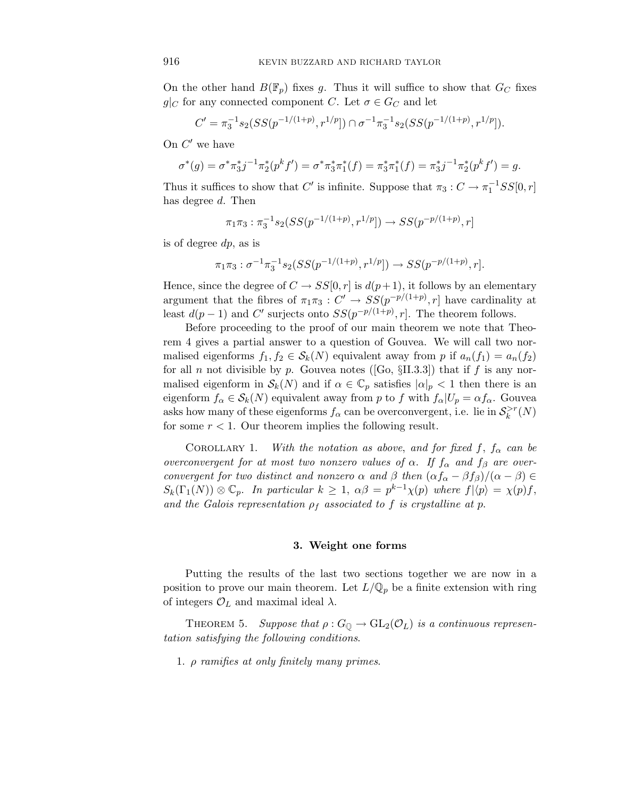On the other hand  $B(\mathbb{F}_p)$  fixes *g*. Thus it will suffice to show that  $G_C$  fixes *g*| $C$  for any connected component *C*. Let  $\sigma \in G_C$  and let

$$
C' = \pi_3^{-1} s_2(SS(p^{-1/(1+p)}, r^{1/p})) \cap \sigma^{-1} \pi_3^{-1} s_2(SS(p^{-1/(1+p)}, r^{1/p})).
$$

On  $C'$  we have

$$
\sigma^*(g) = \sigma^* \pi_3^* j^{-1} \pi_2^* (p^k f') = \sigma^* \pi_3^* \pi_1^* (f) = \pi_3^* \pi_1^* (f) = \pi_3^* j^{-1} \pi_2^* (p^k f') = g.
$$

Thus it suffices to show that  $C'$  is infinite. Suppose that  $\pi_3 : C \to \pi_1^{-1}SS[0,r]$ has degree *d*. Then

$$
\pi_1 \pi_3 : \pi_3^{-1} s_2(SS(p^{-1/(1+p)}, r^{1/p}]) \to SS(p^{-p/(1+p)}, r]
$$

is of degree *dp*, as is

$$
\pi_1 \pi_3 : \sigma^{-1} \pi_3^{-1} s_2(SS(p^{-1/(1+p)}, r^{1/p})) \to SS(p^{-p/(1+p)}, r].
$$

Hence, since the degree of  $C \to SS[0, r]$  is  $d(p+1)$ , it follows by an elementary argument that the fibres of  $\pi_1 \pi_3 : C' \to SS(p^{-p/(1+p)}, r]$  have cardinality at least  $d(p-1)$  and  $C'$  surjects onto  $SS(p^{-p/(1+p)}, r]$ . The theorem follows.

Before proceeding to the proof of our main theorem we note that Theorem 4 gives a partial answer to a question of Gouvea. We will call two normalised eigenforms  $f_1, f_2 \in S_k(N)$  equivalent away from p if  $a_n(f_1) = a_n(f_2)$ for all *n* not divisible by *p*. Gouvea notes ([Go,  $\S II.3.3$ ]) that if *f* is any normalised eigenform in  $\mathcal{S}_k(N)$  and if  $\alpha \in \mathbb{C}_p$  satisfies  $|\alpha|_p < 1$  then there is an eigenform  $f_{\alpha} \in S_k(N)$  equivalent away from *p* to *f* with  $f_{\alpha}|U_p = \alpha f_{\alpha}$ . Gouvea asks how many of these eigenforms  $f_{\alpha}$  can be overconvergent, i.e. lie in  $\mathcal{S}_k^{>r}(N)$ for some  $r < 1$ . Our theorem implies the following result.

COROLLARY 1. With the notation as above, and for fixed f,  $f_\alpha$  can be overconvergent for at most two nonzero values of  $\alpha$ . If  $f_{\alpha}$  and  $f_{\beta}$  are overconvergent for two distinct and nonzero  $\alpha$  and  $\beta$  then  $(\alpha f_{\alpha} - \beta f_{\beta})/(\alpha - \beta) \in$  $S_k(\Gamma_1(N)) \otimes \mathbb{C}_p$ . In particular  $k \geq 1$ ,  $\alpha \beta = p^{k-1} \chi(p)$  where  $f | \langle p \rangle = \chi(p) f$ , and the Galois representation  $\rho_f$  associated to f is crystalline at p.

#### **3. Weight one forms**

Putting the results of the last two sections together we are now in a position to prove our main theorem. Let  $L/\mathbb{Q}_p$  be a finite extension with ring of integers  $\mathcal{O}_L$  and maximal ideal  $\lambda$ .

THEOREM 5. Suppose that  $\rho: G_{\mathbb{Q}} \to GL_2(\mathcal{O}_L)$  is a continuous representation satisfying the following conditions.

1. *ρ* ramifies at only finitely many primes.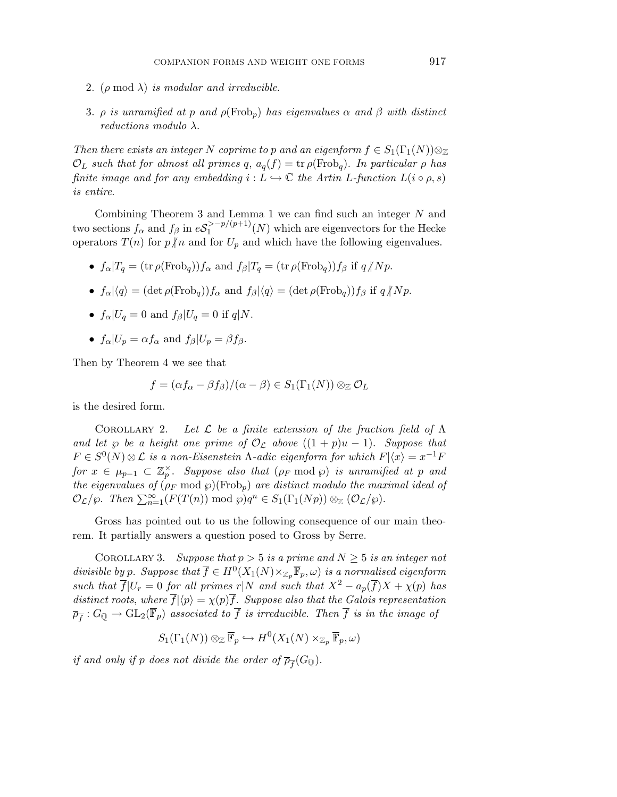- 2.  $(\rho \mod \lambda)$  is modular and irreducible.
- 3. *ρ* is unramified at *p* and  $\rho(\text{Frob}_p)$  has eigenvalues  $\alpha$  and  $\beta$  with distinct reductions modulo *λ*.

Then there exists an integer *N* coprime to *p* and an eigenform  $f \in S_1(\Gamma_1(N))\otimes_{\mathbb{Z}}$  $\mathcal{O}_L$  such that for almost all primes *q*,  $a_q(f) = \text{tr } \rho(\text{Frob}_q)$ . In particular  $\rho$  has finite image and for any embedding  $i : L \hookrightarrow \mathbb{C}$  the Artin *L*-function  $L(i \circ \rho, s)$ is entire.

Combining Theorem 3 and Lemma 1 we can find such an integer *N* and two sections  $f_{\alpha}$  and  $f_{\beta}$  in  $eS_1^{p/(p+1)}(N)$  which are eigenvectors for the Hecke operators  $T(n)$  for  $p \nmid n$  and for  $U_p$  and which have the following eigenvalues.

- $f_{\alpha}|T_q = (\text{tr}\,\rho(\text{Frob}_q))f_{\alpha}$  and  $f_{\beta}|T_q = (\text{tr}\,\rho(\text{Frob}_q))f_{\beta}$  if  $q/Np$ .
- $f_{\alpha}|\langle q \rangle = (\det \rho(\text{Frob}_q))f_{\alpha}$  and  $f_{\beta}|\langle q \rangle = (\det \rho(\text{Frob}_q))f_{\beta}$  if  $q \nmid Np$ .
- $f_{\alpha}|U_q = 0$  and  $f_{\beta}|U_q = 0$  if  $q|N$ .
- $f_{\alpha}|U_p = \alpha f_{\alpha}$  and  $f_{\beta}|U_p = \beta f_{\beta}$ .

Then by Theorem 4 we see that

$$
f = (\alpha f_{\alpha} - \beta f_{\beta})/(\alpha - \beta) \in S_1(\Gamma_1(N)) \otimes_{\mathbb{Z}} \mathcal{O}_L
$$

is the desired form.

COROLLARY 2. Let  $\mathcal L$  be a finite extension of the fraction field of  $\Lambda$ and let  $\wp$  be a height one prime of  $\mathcal{O}_{\mathcal{L}}$  above  $((1 + p)u - 1)$ . Suppose that  $F \in S^0(N) \otimes \mathcal{L}$  is a non-Eisenstein  $\Lambda$ -adic eigenform for which  $F|\langle x \rangle = x^{-1}F$  $for x \in \mu_{p-1} \subset \mathbb{Z}_p^{\times}$ . Suppose also that  $(\rho_F \mod \varphi)$  is unramified at  $p$  and the eigenvalues of  $(\rho_F \mod p)(\text{Frob}_p)$  are distinct modulo the maximal ideal of  $\mathcal{O}_{\mathcal{L}}/\wp$ . Then  $\sum_{n=1}^{\infty} (F(T(n)) \text{ mod } \wp) q^n \in S_1(\Gamma_1(Np)) \otimes_{\mathbb{Z}} (\mathcal{O}_{\mathcal{L}}/\wp)$ .

Gross has pointed out to us the following consequence of our main theorem. It partially answers a question posed to Gross by Serre.

COROLLARY 3. Suppose that  $p > 5$  is a prime and  $N \geq 5$  is an integer not divisible by *p*. Suppose that  $\overline{f} \in H^0(X_1(N) \times_{\mathbb{Z}_p} \overline{\mathbb{F}}_p, \omega)$  is a normalised eigenform such that  $\overline{f}|U_r = 0$  for all primes  $r|N$  and such that  $X^2 - a_p(\overline{f})X + \chi(p)$  has distinct roots, where  $\overline{f}|\langle p \rangle = \chi(p)\overline{f}$ . Suppose also that the Galois representation  $\overline{\rho}_{\overline{f}}: G_{\mathbb{Q}} \to GL_2(\overline{\mathbb{F}}_p)$  associated to  $\overline{f}$  is irreducible. Then  $\overline{f}$  is in the image of

$$
S_1(\Gamma_1(N)) \otimes_{\mathbb{Z}} \overline{\mathbb{F}}_p \hookrightarrow H^0(X_1(N) \times_{\mathbb{Z}_p} \overline{\mathbb{F}}_p, \omega)
$$

if and only if *p* does not divide the order of  $\overline{\rho}_{\overline{f}}(G_{\mathbb{Q}})$ .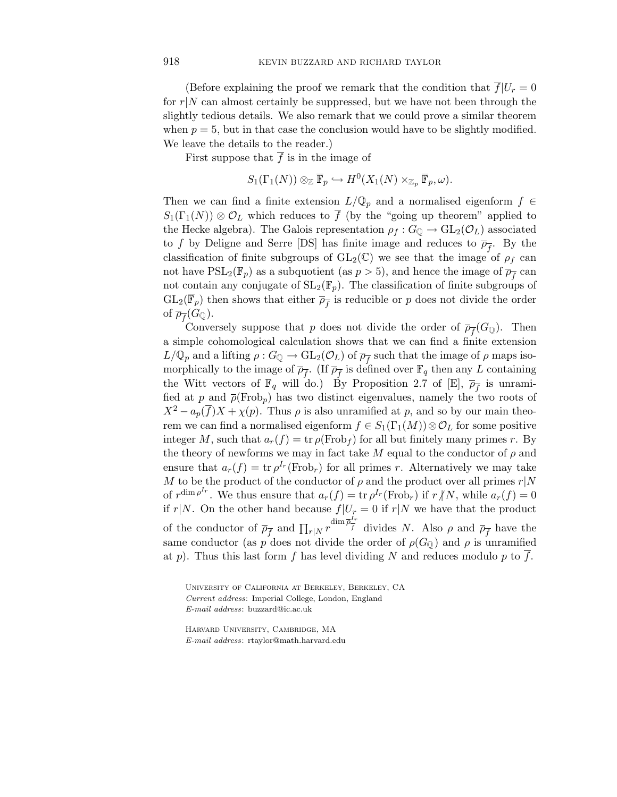(Before explaining the proof we remark that the condition that  $\overline{f}|U_r=0$ for  $r|N$  can almost certainly be suppressed, but we have not been through the slightly tedious details. We also remark that we could prove a similar theorem when  $p = 5$ , but in that case the conclusion would have to be slightly modified. We leave the details to the reader.)

First suppose that  $\overline{f}$  is in the image of

$$
S_1(\Gamma_1(N)) \otimes_{\mathbb{Z}} \overline{\mathbb{F}}_p \hookrightarrow H^0(X_1(N) \times_{\mathbb{Z}_p} \overline{\mathbb{F}}_p, \omega).
$$

Then we can find a finite extension  $L/\mathbb{Q}_p$  and a normalised eigenform  $f \in$  $S_1(\Gamma_1(N)) \otimes \mathcal{O}_L$  which reduces to  $\overline{f}$  (by the "going up theorem" applied to the Hecke algebra). The Galois representation  $\rho_f : G_{\mathbb{Q}} \to GL_2(\mathcal{O}_L)$  associated to *f* by Deligne and Serre [DS] has finite image and reduces to  $\overline{\rho_{\tau}}$ . By the classification of finite subgroups of  $GL_2(\mathbb{C})$  we see that the image of  $\rho_f$  can not have  $PSL_2(\mathbb{F}_p)$  as a subquotient (as  $p > 5$ ), and hence the image of  $\overline{\rho}_{\overline{f}}$  can not contain any conjugate of  $SL_2(\mathbb{F}_p)$ . The classification of finite subgroups of  $GL_2(\mathbb{F}_p)$  then shows that either  $\overline{\rho}_{\overline{f}}$  is reducible or p does not divide the order of  $\overline{\rho}_{\overline{f}}(G_{\mathbb{Q}})$ .

Conversely suppose that *p* does not divide the order of  $\overline{\rho}_{\overline{f}}(G_{\mathbb{Q}})$ . Then a simple cohomological calculation shows that we can find a finite extension  $L/\mathbb{Q}_p$  and a lifting  $\rho: G_{\mathbb{Q}} \to GL_2(\mathcal{O}_L)$  of  $\overline{\rho}_{\overline{f}}$  such that the image of  $\rho$  maps isomorphically to the image of  $\overline{\rho}_{\overline{f}}$ . (If  $\overline{\rho}_{\overline{f}}$  is defined over  $\mathbb{F}_q$  then any *L* containing the Witt vectors of  $\mathbb{F}_q$  will do.) By Proposition 2.7 of [E],  $\overline{\rho}_{\overline{f}}$  is unramified at *p* and  $\overline{\rho}$ (Frob<sub>*p*</sub>) has two distinct eigenvalues, namely the two roots of  $X^2 - a_p(\overline{f})X + \chi(p)$ . Thus  $\rho$  is also unramified at *p*, and so by our main theorem we can find a normalised eigenform  $f \in S_1(\Gamma_1(M)) \otimes \mathcal{O}_L$  for some positive integer *M*, such that  $a_r(f) = \text{tr } \rho(\text{Frob}_f)$  for all but finitely many primes *r*. By the theory of newforms we may in fact take  $M$  equal to the conductor of  $\rho$  and ensure that  $a_r(f) = \text{tr } \rho^{I_r}(\text{Frob}_r)$  for all primes *r*. Alternatively we may take *M* to be the product of the conductor of  $\rho$  and the product over all primes  $r|N$ of  $r^{\dim \rho^{I_r}}$ . We thus ensure that  $a_r(f) = \text{tr } \rho^{I_r}(\text{Frob}_r)$  if  $r/N$ , while  $a_r(f) = 0$ if  $r|N$ . On the other hand because  $f|U_r = 0$  if  $r|N$  we have that the product of the conductor of  $\overline{\rho}_{\overline{f}}$  and  $\prod_{r|N} r^{\dim \overline{\rho}_{f}^{I_r}}$  divides *N*. Also  $\rho$  and  $\overline{\rho}_{\overline{f}}$  have the same conductor (as *p* does not divide the order of  $\rho(G_{\mathbb{Q}})$  and  $\rho$  is unramified at *p*). Thus this last form *f* has level dividing *N* and reduces modulo *p* to *f*.

University of California at Berkeley, Berkeley, CA *Current address*: Imperial College, London, England *E-mail address*: buzzard@ic.ac.uk

Harvard University, Cambridge, MA *E-mail address*: rtaylor@math.harvard.edu